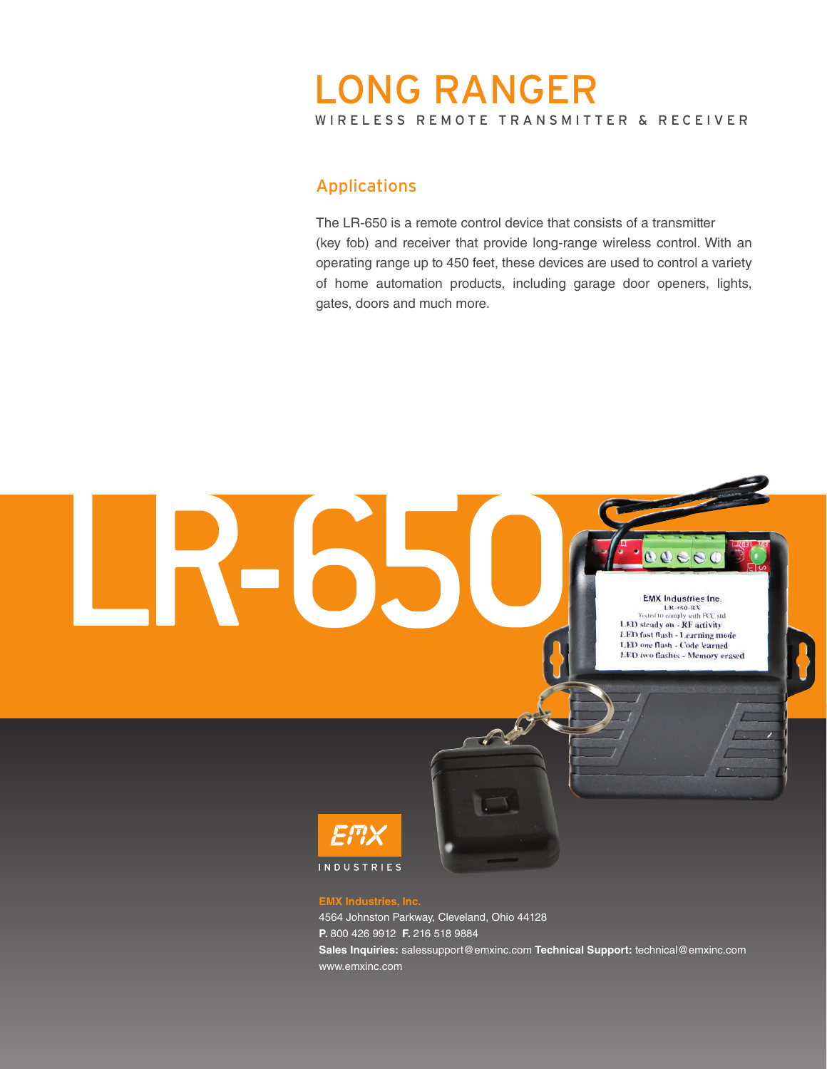# WIRELESS REMOTE TRANSMITTER & RECEIVER LONG RANGER

# Applications

The LR-650 is a remote control device that consists of a transmitter (key fob) and receiver that provide long-range wireless control. With an operating range up to 450 feet, these devices are used to control a variety of home automation products, including garage door openers, lights, gates, doors and much more.